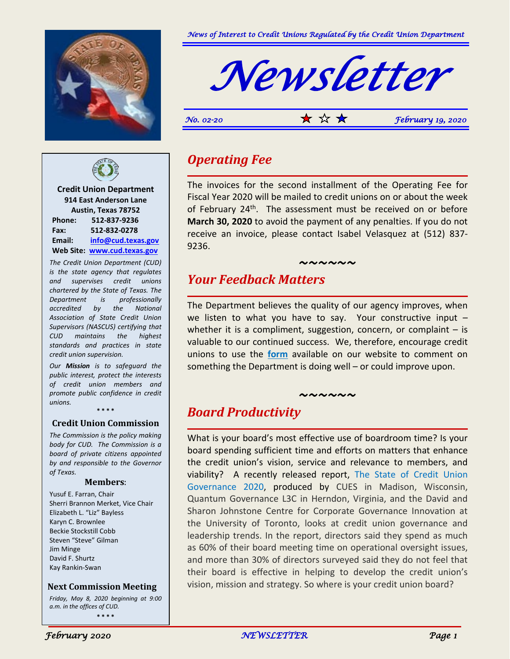



**Credit Union Department 914 East Anderson Lane Austin, Texas 78752 Phone: 512-837-9236 Fax: 512-832-0278 Email: [info@cud.texas.gov](mailto:info@cud.texas.gov) Web Site: [www.cud.texas.gov](http://www.cud.texas.gov/)**

*The Credit Union Department (CUD) is the state agency that regulates and supervises credit unions chartered by the State of Texas. The Department is professionally accredited by the National Association of State Credit Union Supervisors (NASCUS) certifying that CUD maintains the highest standards and practices in state credit union supervision.*

*Our Mission is to safeguard the public interest, protect the interests of credit union members and promote public confidence in credit unions.*

**\* \* \* \***

#### **Credit Union Commission**

*The Commission is the policy making body for CUD. The Commission is a board of private citizens appointed by and responsible to the Governor of Texas.*

#### **Members**:

Yusuf E. Farran, Chair Sherri Brannon Merket, Vice Chair Elizabeth L. "Liz" Bayless Karyn C. Brownlee Beckie Stockstill Cobb Steven "Steve" Gilman Jim Minge David F. Shurtz Kay Rankin-Swan

 **Next Commission Meeting**

*Friday, May 8, 2020 beginning at 9:00 a.m. in the offices of CUD.* **\* \* \* \***



*No.* 02-20  $\star$   $\star$   $\star$   $\star$  *February 19, 2020* 

### *Operating Fee*

The invoices for the second installment of the Operating Fee for Fiscal Year 2020 will be mailed to credit unions on or about the week of February 24<sup>th</sup>. The assessment must be received on or before **March 30, 2020** to avoid the payment of any penalties. If you do not receive an invoice, please contact Isabel Velasquez at (512) 837- 9236.

*~~~~~~*

## *Your Feedback Matters*

The Department believes the quality of our agency improves, when we listen to what you have to say. Your constructive input – whether it is a compliment, suggestion, concern, or complaint  $-$  is valuable to our continued success. We, therefore, encourage credit unions to use the **[form](https://cud.texas.gov/credit-union-laws-rules/credit-union-feedback)** available on our website to comment on something the Department is doing well – or could improve upon.

#### *~~~~~~*

### *Board Productivity*

What is your board's most effective use of boardroom time? Is your board spending sufficient time and efforts on matters that enhance the credit union's vision, service and relevance to members, and viability? A recently released report, The State of Credit Union Governance 2020, produced by CUES in Madison, Wisconsin, Quantum Governance L3C in Herndon, Virginia, and the David and Sharon Johnstone Centre for Corporate Governance Innovation at the University of Toronto, looks at credit union governance and leadership trends. In the report, directors said they spend as much as 60% of their board meeting time on operational oversight issues, and more than 30% of directors surveyed said they do not feel that their board is effective in helping to develop the credit union's vision, mission and strategy. So where is your credit union board?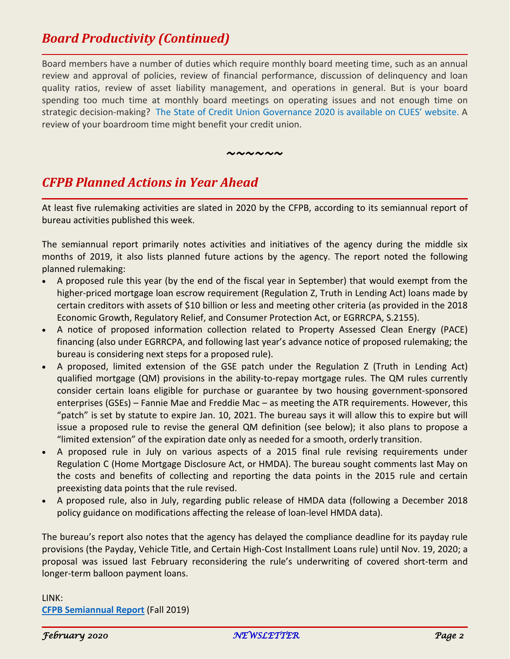# *Board Productivity (Continued)*

Board members have a number of duties which require monthly board meeting time, such as an annual review and approval of policies, review of financial performance, discussion of delinquency and loan quality ratios, review of asset liability management, and operations in general. But is your board spending too much time at monthly board meetings on operating issues and not enough time on strategic decision-making? The State of Credit Union Governance 2020 is available on CUES' website. A review of your boardroom time might benefit your credit union.

*~~~~~~*

# *CFPB Planned Actions in Year Ahead*

At least five rulemaking activities are slated in 2020 by the CFPB, according to its semiannual report of bureau activities published this week.

The semiannual report primarily notes activities and initiatives of the agency during the middle six months of 2019, it also lists planned future actions by the agency. The report noted the following planned rulemaking:

- A proposed rule this year (by the end of the fiscal year in September) that would exempt from the higher-priced mortgage loan escrow requirement (Regulation Z, Truth in Lending Act) loans made by certain creditors with assets of \$10 billion or less and meeting other criteria (as provided in the 2018 Economic Growth, Regulatory Relief, and Consumer Protection Act, or EGRRCPA, S.2155).
- A notice of proposed information collection related to Property Assessed Clean Energy (PACE) financing (also under EGRRCPA, and following last year's advance notice of proposed rulemaking; the bureau is considering next steps for a proposed rule).
- A proposed, limited extension of the GSE patch under the Regulation Z (Truth in Lending Act) qualified mortgage (QM) provisions in the ability-to-repay mortgage rules. The QM rules currently consider certain loans eligible for purchase or guarantee by two housing government-sponsored enterprises (GSEs) – Fannie Mae and Freddie Mac – as meeting the ATR requirements. However, this "patch" is set by statute to expire Jan. 10, 2021. The bureau says it will allow this to expire but will issue a proposed rule to revise the general QM definition (see below); it also plans to propose a "limited extension" of the expiration date only as needed for a smooth, orderly transition.
- A proposed rule in July on various aspects of a 2015 final rule revising requirements under Regulation C (Home Mortgage Disclosure Act, or HMDA). The bureau sought comments last May on the costs and benefits of collecting and reporting the data points in the 2015 rule and certain preexisting data points that the rule revised.
- A proposed rule, also in July, regarding public release of HMDA data (following a December 2018 policy guidance on modifications affecting the release of loan-level HMDA data).

The bureau's report also notes that the agency has delayed the compliance deadline for its payday rule provisions (the Payday, Vehicle Title, and Certain High-Cost Installment Loans rule) until Nov. 19, 2020; a proposal was issued last February reconsidering the rule's underwriting of covered short-term and longer-term balloon payment loans.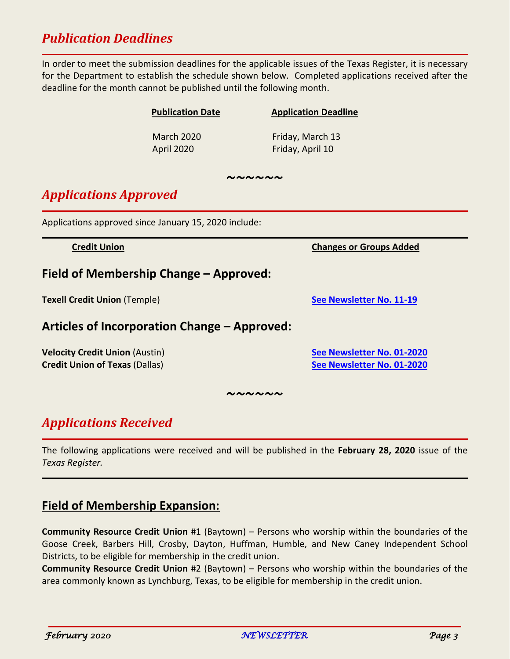# *Publication Deadlines*

In order to meet the submission deadlines for the applicable issues of the Texas Register, it is necessary for the Department to establish the schedule shown below. Completed applications received after the deadline for the month cannot be published until the following month.

|                                                                                | <b>Publication Date</b>         | <b>Application Deadline</b>                              |
|--------------------------------------------------------------------------------|---------------------------------|----------------------------------------------------------|
|                                                                                | <b>March 2020</b><br>April 2020 | Friday, March 13<br>Friday, April 10                     |
| いへんへん                                                                          |                                 |                                                          |
| <b>Applications Approved</b>                                                   |                                 |                                                          |
| Applications approved since January 15, 2020 include:                          |                                 |                                                          |
| <b>Credit Union</b>                                                            |                                 | <b>Changes or Groups Added</b>                           |
| Field of Membership Change – Approved:                                         |                                 |                                                          |
| <b>Texell Credit Union (Temple)</b>                                            |                                 | See Newsletter No. 11-19                                 |
| Articles of Incorporation Change - Approved:                                   |                                 |                                                          |
| <b>Velocity Credit Union (Austin)</b><br><b>Credit Union of Texas (Dallas)</b> |                                 | See Newsletter No. 01-2020<br>See Newsletter No. 01-2020 |
| ~~~~~~                                                                         |                                 |                                                          |

# *Applications Received*

The following applications were received and will be published in the **February 28, 2020** issue of the *Texas Register.*

### **Field of Membership Expansion:**

**Community Resource Credit Union** #1 (Baytown) – Persons who worship within the boundaries of the Goose Creek, Barbers Hill, Crosby, Dayton, Huffman, Humble, and New Caney Independent School Districts, to be eligible for membership in the credit union.

**Community Resource Credit Union** #2 (Baytown) – Persons who worship within the boundaries of the area commonly known as Lynchburg, Texas, to be eligible for membership in the credit union.